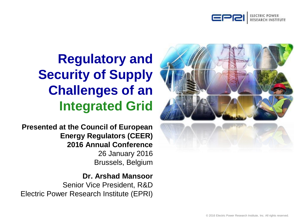



# **Regulatory and Security of Supply Challenges of an Integrated Grid**

**Presented at the Council of European Energy Regulators (CEER) 2016 Annual Conference** 26 January 2016 Brussels, Belgium

#### **Dr. Arshad Mansoor**

Senior Vice President, R&D Electric Power Research Institute (EPRI)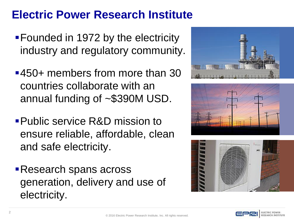# **Electric Power Research Institute**

- Founded in 1972 by the electricity industry and regulatory community.
- 450+ members from more than 30 countries collaborate with an annual funding of ~\$390M USD.
- Public service R&D mission to ensure reliable, affordable, clean and safe electricity.
- Research spans across generation, delivery and use of electricity.







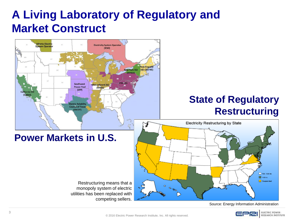# **A Living Laboratory of Regulatory and Market Construct**



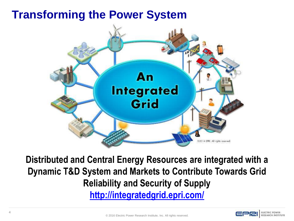## **Transforming the Power System**



**Distributed and Central Energy Resources are integrated with a Dynamic T&D System and Markets to Contribute Towards Grid Reliability and Security of Supply <http://integratedgrid.epri.com/>**

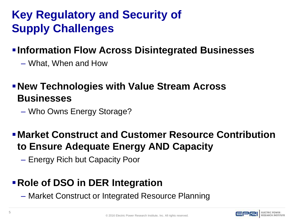# **Key Regulatory and Security of Supply Challenges**

### **Information Flow Across Disintegrated Businesses**

– What, When and How

### **New Technologies with Value Stream Across Businesses**

– Who Owns Energy Storage?

### **Market Construct and Customer Resource Contribution to Ensure Adequate Energy AND Capacity**

– Energy Rich but Capacity Poor

### **Role of DSO in DER Integration**

– Market Construct or Integrated Resource Planning

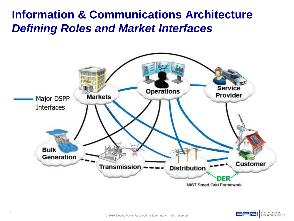## **Information & Communications Architecture** *Defining Roles and Market Interfaces*



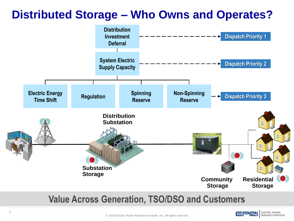# **Distributed Storage – Who Owns and Operates?**



#### **Value Across Generation, TSO/DSO and Customers**

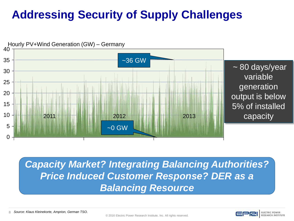# **Addressing Security of Supply Challenges**



*Capacity Market? Integrating Balancing Authorities? Price Induced Customer Response? DER as a Balancing Resource*

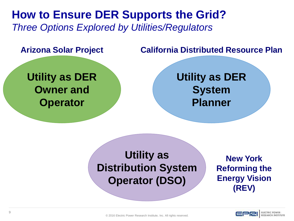**How to Ensure DER Supports the Grid?** *Three Options Explored by Utilities/Regulators*

**Utility as DER Owner and Operator**

#### **Arizona Solar Project California Distributed Resource Plan**

**Utility as DER System Planner**

## **Utility as Distribution System Operator (DSO)**

**New York Reforming the Energy Vision (REV)**